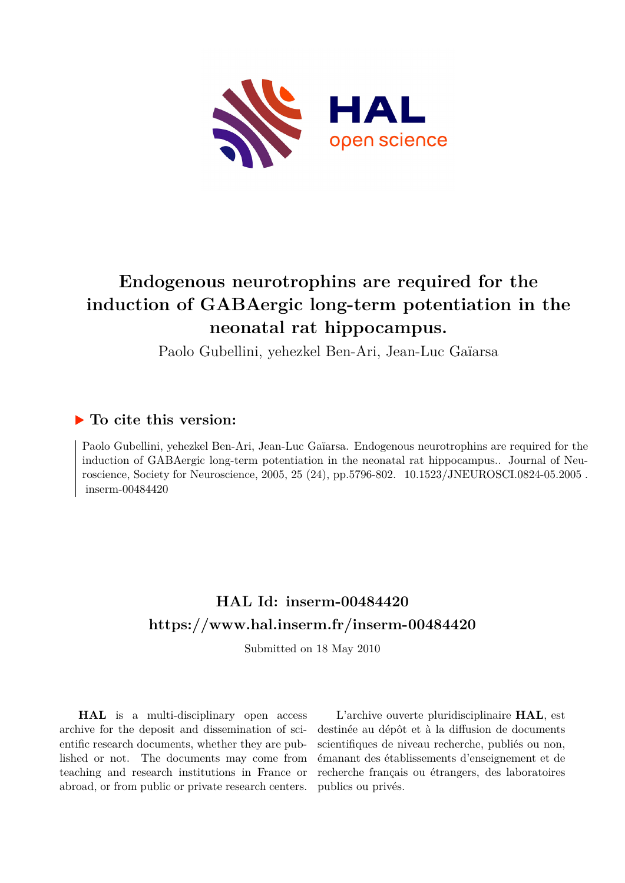

## **Endogenous neurotrophins are required for the induction of GABAergic long-term potentiation in the neonatal rat hippocampus.**

Paolo Gubellini, yehezkel Ben-Ari, Jean-Luc Gaïarsa

### **To cite this version:**

Paolo Gubellini, yehezkel Ben-Ari, Jean-Luc Gaïarsa. Endogenous neurotrophins are required for the induction of GABAergic long-term potentiation in the neonatal rat hippocampus.. Journal of Neuroscience, Society for Neuroscience, 2005, 25 (24), pp.5796-802.  $10.1523/JNEUROSCI.0824-05.2005$ . inserm-00484420

### **HAL Id: inserm-00484420 <https://www.hal.inserm.fr/inserm-00484420>**

Submitted on 18 May 2010

**HAL** is a multi-disciplinary open access archive for the deposit and dissemination of scientific research documents, whether they are published or not. The documents may come from teaching and research institutions in France or abroad, or from public or private research centers.

L'archive ouverte pluridisciplinaire **HAL**, est destinée au dépôt et à la diffusion de documents scientifiques de niveau recherche, publiés ou non, émanant des établissements d'enseignement et de recherche français ou étrangers, des laboratoires publics ou privés.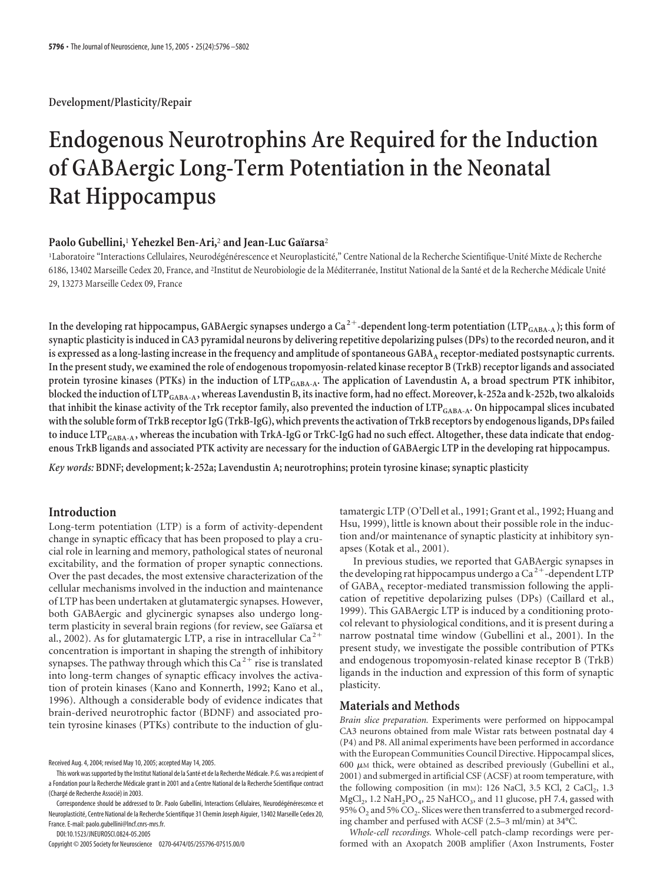**Development/Plasticity/Repair**

# **Endogenous Neurotrophins Are Required for the Induction of GABAergic Long-Term Potentiation in the Neonatal Rat Hippocampus**

#### **Paolo Gubellini,<sup>1</sup> Yehezkel Ben-Ari,<sup>2</sup> and Jean-Luc Gaïarsa<sup>2</sup>**

'Laboratoire "Interactions Cellulaires, Neurodégénérescence et Neuroplasticité," Centre National de la Recherche Scientifique-Unité Mixte de Recherche 6186, 13402 Marseille Cedex 20, France, and <sup>2</sup>Institut de Neurobiologie de la Méditerranée, Institut National de la Santé et de la Recherche Médicale Unité 29, 13273 Marseille Cedex 09, France

In the developing rat hippocampus, GABAergic synapses undergo a Ca<sup>2+</sup>-dependent long-term potentiation (LTP<sub>GABA-A</sub>); this form of **synaptic plasticity is induced in CA3 pyramidal neurons by delivering repetitive depolarizing pulses (DPs) to the recorded neuron, and it is expressed as a long-lasting increase in the frequency and amplitude of spontaneous GABAA receptor-mediated postsynaptic currents. In the present study, we examined the role of endogenous tropomyosin-related kinase receptor B (TrkB) receptor ligands and associated protein tyrosine kinases (PTKs) in the induction of LTPGABA-A. The application of Lavendustin A, a broad spectrum PTK inhibitor,** blocked the induction of LTP<sub>GABA-A</sub>, whereas Lavendustin B, its inactive form, had no effect. Moreover, k-252a and k-252b, two alkaloids that inhibit the kinase activity of the Trk receptor family, also prevented the induction of LTP<sub>GABA-A</sub>. On hippocampal slices incubated **withthe solubleform of TrkB receptor IgG (TrkB-IgG), which preventsthe activation of TrkB receptors by endogenous ligands, DPsfailed** to induce LTP<sub>GABA-A</sub>, whereas the incubation with TrkA-IgG or TrkC-IgG had no such effect. Altogether, these data indicate that endog**enous TrkB ligands and associated PTK activity are necessary for the induction of GABAergic LTP in the developing rat hippocampus.**

*Key words:* **BDNF; development; k-252a; Lavendustin A; neurotrophins; protein tyrosine kinase; synaptic plasticity**

#### **Introduction**

Long-term potentiation (LTP) is a form of activity-dependent change in synaptic efficacy that has been proposed to play a crucial role in learning and memory, pathological states of neuronal excitability, and the formation of proper synaptic connections. Over the past decades, the most extensive characterization of the cellular mechanisms involved in the induction and maintenance of LTP has been undertaken at glutamatergic synapses. However, both GABAergic and glycinergic synapses also undergo longterm plasticity in several brain regions (for review, see Gaïarsa et al., 2002). As for glutamatergic LTP, a rise in intracellular  $Ca^{2+}$ concentration is important in shaping the strength of inhibitory synapses. The pathway through which this Ca<sup>2+</sup> rise is translated into long-term changes of synaptic efficacy involves the activation of protein kinases (Kano and Konnerth, 1992; Kano et al., 1996). Although a considerable body of evidence indicates that brain-derived neurotrophic factor (BDNF) and associated protein tyrosine kinases (PTKs) contribute to the induction of glu-

Correspondence should be addressed to Dr. Paolo Gubellini, Interactions Cellulaires, Neurodégénérescence et Neuroplasticite´, Centre National de la Recherche Scientifique 31 Chemin Joseph Aiguier, 13402 Marseille Cedex 20, France. E-mail: paolo.gubellini@lncf.cnrs-mrs.fr.

DOI:10.1523/JNEUROSCI.0824-05.2005

Copyright © 2005 Society for Neuroscience 0270-6474/05/255796-07\$15.00/0

tamatergic LTP (O'Dell et al., 1991; Grant et al., 1992; Huang and Hsu, 1999), little is known about their possible role in the induction and/or maintenance of synaptic plasticity at inhibitory synapses (Kotak et al., 2001).

In previous studies, we reported that GABAergic synapses in the developing rat hippocampus undergo a  $Ca^{2+}$ -dependent LTP of GABAA receptor-mediated transmission following the application of repetitive depolarizing pulses (DPs) (Caillard et al., 1999). This GABAergic LTP is induced by a conditioning protocol relevant to physiological conditions, and it is present during a narrow postnatal time window (Gubellini et al., 2001). In the present study, we investigate the possible contribution of PTKs and endogenous tropomyosin-related kinase receptor B (TrkB) ligands in the induction and expression of this form of synaptic plasticity.

#### **Materials and Methods**

*Brain slice preparation.* Experiments were performed on hippocampal CA3 neurons obtained from male Wistar rats between postnatal day 4 (P4) and P8. All animal experiments have been performed in accordance with the European Communities Council Directive. Hippocampal slices, 600  $\mu$ M thick, were obtained as described previously (Gubellini et al., 2001) and submerged in artificial CSF (ACSF) at room temperature, with the following composition (in mm): 126 NaCl, 3.5 KCl, 2 CaCl<sub>2</sub>, 1.3  $MgCl<sub>2</sub>$ , 1.2 NaH<sub>2</sub>PO<sub>4</sub>, 25 NaHCO<sub>3</sub>, and 11 glucose, pH 7.4, gassed with 95%  $O_2$  and 5%  $CO_2$ . Slices were then transferred to a submerged recording chamber and perfused with ACSF (2.5–3 ml/min) at 34°C.

*Whole-cell recordings.* Whole-cell patch-clamp recordings were performed with an Axopatch 200B amplifier (Axon Instruments, Foster

Received Aug. 4, 2004; revised May 10, 2005; accepted May 14, 2005.

This work was supported by the Institut National de la Santé et de la Recherche Médicale. P.G. was a recipient of a Fondation pour la Recherche Médicale grant in 2001 and a Centre National de la Recherche Scientifique contract (Chargé de Recherche Associé) in 2003.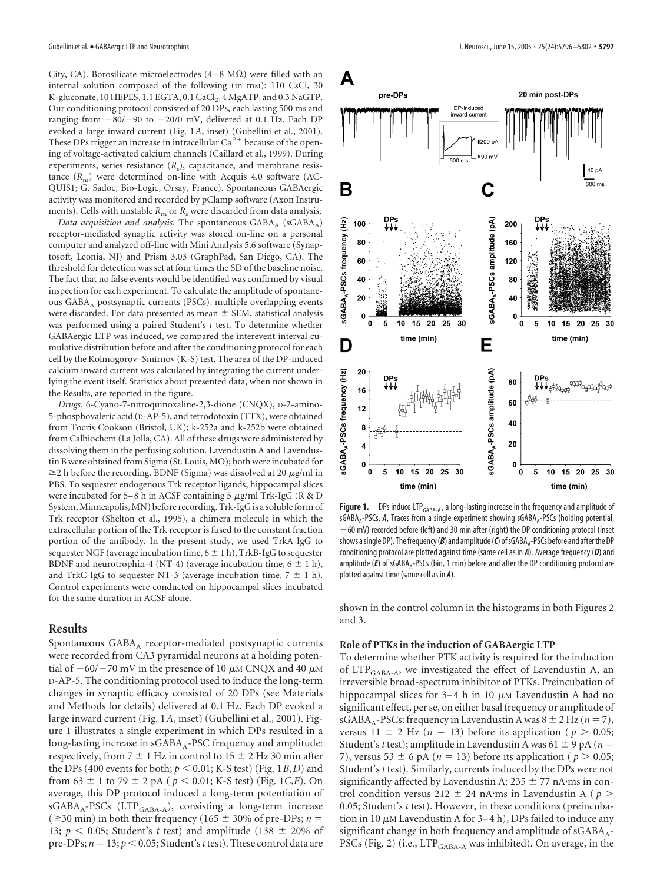City, CA). Borosilicate microelectrodes  $(4-8 \text{ M}\Omega)$  were filled with an internal solution composed of the following (in mM): 110 CsCl, 30 K-gluconate, 10 HEPES, 1.1 EGTA, 0.1 CaCl<sub>2</sub>, 4 MgATP, and 0.3 NaGTP. Our conditioning protocol consisted of 20 DPs, each lasting 500 ms and ranging from  $-80/-90$  to  $-20/0$  mV, delivered at 0.1 Hz. Each DP evoked a large inward current (Fig. 1*A*, inset) (Gubellini et al., 2001). These DPs trigger an increase in intracellular  $Ca^{2+}$  because of the opening of voltage-activated calcium channels (Caillard et al., 1999). During experiments, series resistance ( $R_s$ ), capacitance, and membrane resistance  $(R_m)$  were determined on-line with Acquis 4.0 software (AC-QUIS1; G. Sadoc, Bio-Logic, Orsay, France). Spontaneous GABAergic activity was monitored and recorded by pClamp software (Axon Instruments). Cells with unstable  $R<sub>m</sub>$  or  $R<sub>s</sub>$  were discarded from data analysis.

*Data acquisition and analysis.* The spontaneous  $GABA_A$  ( $SGABA_A$ ) receptor-mediated synaptic activity was stored on-line on a personal computer and analyzed off-line with Mini Analysis 5.6 software (Synaptosoft, Leonia, NJ) and Prism 3.03 (GraphPad, San Diego, CA). The threshold for detection was set at four times the SD of the baseline noise. The fact that no false events would be identified was confirmed by visual inspection for each experiment. To calculate the amplitude of spontaneous GABA<sub>A</sub> postsynaptic currents (PSCs), multiple overlapping events were discarded. For data presented as mean  $\pm$  SEM, statistical analysis was performed using a paired Student's *t* test. To determine whether GABAergic LTP was induced, we compared the interevent interval cumulative distribution before and after the conditioning protocol for each cell by the Kolmogorov–Smirnov (K-S) test. The area of the DP-induced calcium inward current was calculated by integrating the current underlying the event itself. Statistics about presented data, when not shown in the Results, are reported in the figure.

*Drugs.* 6-Cyano-7-nitroquinoxaline-2,3-dione (CNQX), D-2-amino-5-phosphovaleric acid (D-AP-5), and tetrodotoxin (TTX), were obtained from Tocris Cookson (Bristol, UK); k-252a and k-252b were obtained from Calbiochem (La Jolla, CA). All of these drugs were administered by dissolving them in the perfusing solution. Lavendustin A and Lavendustin B were obtained from Sigma (St. Louis, MO); both were incubated for  $\geq$  2 h before the recording. BDNF (Sigma) was dissolved at 20  $\mu$ g/ml in PBS. To sequester endogenous Trk receptor ligands, hippocampal slices were incubated for 5–8 h in ACSF containing 5  $\mu$ g/ml Trk-IgG (R & D System, Minneapolis, MN) before recording. Trk-IgG is a soluble form of Trk receptor (Shelton et al., 1995), a chimera molecule in which the extracellular portion of the Trk receptor is fused to the constant fraction portion of the antibody. In the present study, we used TrkA-IgG to sequester NGF (average incubation time,  $6 \pm 1$  h), TrkB-IgG to sequester BDNF and neurotrophin-4 (NT-4) (average incubation time,  $6 \pm 1$  h), and TrkC-IgG to sequester NT-3 (average incubation time,  $7 \pm 1$  h). Control experiments were conducted on hippocampal slices incubated for the same duration in ACSF alone.

#### **Results**

Spontaneous  $GABA_A$  receptor-mediated postsynaptic currents were recorded from CA3 pyramidal neurons at a holding potential of  $-60/-70$  mV in the presence of 10  $\mu$ M CNQX and 40  $\mu$ M D-AP-5. The conditioning protocol used to induce the long-term changes in synaptic efficacy consisted of 20 DPs (see Materials and Methods for details) delivered at 0.1 Hz. Each DP evoked a large inward current (Fig. 1*A*, inset) (Gubellini et al., 2001). Figure 1 illustrates a single experiment in which DPs resulted in a long-lasting increase in  $sGABA_A-PSC$  frequency and amplitude: respectively, from  $7 \pm 1$  Hz in control to  $15 \pm 2$  Hz 30 min after the DPs (400 events for both;  $p < 0.01$ ; K-S test) (Fig. 1*B*,*D*) and from 63  $\pm$  1 to 79  $\pm$  2 pA ( $p < 0.01$ ; K-S test) (Fig. 1*C*,*E*). On average, this DP protocol induced a long-term potentiation of  $sGABA_A-PSCs$  (LTP<sub>GABA-A</sub>), consisting a long-term increase  $(\geq 30 \text{ min})$  in both their frequency (165  $\pm$  30% of pre-DPs; *n* = 13;  $p < 0.05$ ; Student's *t* test) and amplitude (138  $\pm$  20% of pre-DPs;  $n = 13$ ;  $p < 0.05$ ; Student's *t* test). These control data are



Figure 1. DPs induce LTP<sub>GABA-A</sub>, a long-lasting increase in the frequency and amplitude of sGABA<sub>A</sub>-PSCs. **A**, Traces from a single experiment showing sGABA<sub>A</sub>-PSCs (holding potential, 60 mV) recorded before (left) and 30 min after (right) the DP conditioning protocol (inset shows a single DP). The frequency (*B*) and amplitude (*C*) of sGABA<sub>A</sub>-PSCs before and after the DP conditioning protocol are plotted against time (same cell as in *A*). Average frequency (*D*) and amplitude (E) of sGABA<sub>A</sub>-PSCs (bin, 1 min) before and after the DP conditioning protocol are plotted against time (same cell as in *A*).

shown in the control column in the histograms in both Figures 2 and 3.

#### **Role of PTKs in the induction of GABAergic LTP**

To determine whether PTK activity is required for the induction of  $LTP_{\text{GABA-A}}$ , we investigated the effect of Lavendustin A, an irreversible broad-spectrum inhibitor of PTKs. Preincubation of hippocampal slices for 3–4 h in 10  $\mu$ M Lavendustin A had no significant effect, per se, on either basal frequency or amplitude of sGABA<sub>A</sub>-PSCs: frequency in Lavendustin A was  $8 \pm 2$  Hz ( $n = 7$ ), versus  $11 \pm 2$  Hz (*n* = 13) before its application (*p* > 0.05; Student's *t* test); amplitude in Lavendustin A was  $61 \pm 9$  pA ( $n =$ 7), versus 53  $\pm$  6 pA ( $n = 13$ ) before its application ( $p > 0.05$ ; Student's *t* test). Similarly, currents induced by the DPs were not significantly affected by Lavendustin A:  $235 \pm 77$  nA·ms in control condition versus 212  $\pm$  24 nA·ms in Lavendustin A ( $p >$ 0.05; Student's *t* test). However, in these conditions (preincubation in 10  $\mu$ M Lavendustin A for 3–4 h), DPs failed to induce any significant change in both frequency and amplitude of sGABA<sub>A</sub>-PSCs (Fig. 2) (i.e., LTP<sub>GABA-A</sub> was inhibited). On average, in the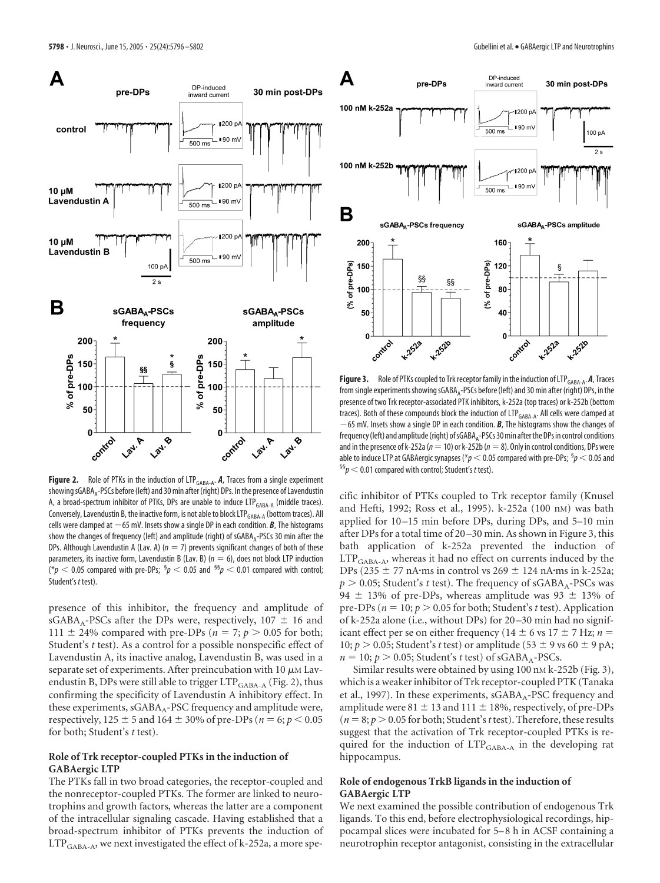

Figure 2. Role of PTKs in the induction of LTP<sub>GABA-A</sub>. *A*, Traces from a single experiment showing sGABA<sub>A</sub>-PSCs before (left) and 30 min after (right) DPs. In the presence of Lavendustin A, a broad-spectrum inhibitor of PTKs, DPs are unable to induce  $LTP_{\text{GABA-A}}$  (middle traces). Conversely, Lavendustin B, the inactive form, is not able to block LTP<sub>GABA-A</sub> (bottom traces). All cells were clamped at  $-65$  mV. Insets show a single DP in each condition.  $B$ , The histograms show the changes of frequency (left) and amplitude (right) of  $sGABA_A-PSCs$  30 min after the DPs. Although Lavendustin A (Lav. A)  $(n = 7)$  prevents significant changes of both of these parameters, its inactive form, Lavendustin B (Lav. B) ( $n = 6$ ), does not block LTP induction  $\hat{p}^{*}$  (\* $p <$  0.05 compared with pre-DPs;  $^{\mathfrak{H}} p <$  0.05 and  $^{\mathfrak{H5}} p <$  0.01 compared with control; Student's *t* test).

presence of this inhibitor, the frequency and amplitude of  $sGABA_A-PSCs$  after the DPs were, respectively, 107  $\pm$  16 and 111  $\pm$  24% compared with pre-DPs ( $n = 7$ ;  $p > 0.05$  for both; Student's *t* test). As a control for a possible nonspecific effect of Lavendustin A, its inactive analog, Lavendustin B, was used in a separate set of experiments. After preincubation with 10  $\mu$ M Lavendustin B, DPs were still able to trigger  $LTP_{\text{GABA-A}}$  (Fig. 2), thus confirming the specificity of Lavendustin A inhibitory effect. In these experiments, sGABA<sub>A</sub>-PSC frequency and amplitude were, respectively,  $125 \pm 5$  and  $164 \pm 30\%$  of pre-DPs ( $n = 6$ ;  $p < 0.05$ for both; Student's *t* test).

#### **Role of Trk receptor-coupled PTKs in the induction of GABAergic LTP**

The PTKs fall in two broad categories, the receptor-coupled and the nonreceptor-coupled PTKs. The former are linked to neurotrophins and growth factors, whereas the latter are a component of the intracellular signaling cascade. Having established that a broad-spectrum inhibitor of PTKs prevents the induction of LTP<sub>GABA-A</sub>, we next investigated the effect of k-252a, a more spe-



**Figure 3.** Role of PTKs coupled to Trk receptor family in the induction of LTP $_{\text{GABA-A}}$ . **A**, Traces from single experiments showing  $sGABA_A-PSCs$  before (left) and 30 min after (right) DPs, in the presence of two Trk receptor-associated PTK inhibitors, k-252a (top traces) or k-252b (bottom traces). Both of these compounds block the induction of LTP<sub>GABA-A</sub>. All cells were clamped at 65 mV. Insets show a single DP in each condition. *B*, The histograms show the changes of frequency (left) and amplitude (right) of sGABA<sub>A</sub>-PSCs 30 min after the DPs in control conditions and in the presence of k-252a ( $n=10$ ) or k-252b ( $n=8$ ). Only in control conditions, DPs were able to induce LTP at GABAergic synapses (\* $p < 0.05$  compared with pre-DPs; <sup>§</sup> $p < 0.05$  and<br><sup>§§</sup> $p < 0.01$  compared with control; Student's *t* test).

cific inhibitor of PTKs coupled to Trk receptor family (Knusel and Hefti, 1992; Ross et al., 1995). k-252a (100 nM) was bath applied for 10 –15 min before DPs, during DPs, and 5–10 min after DPs for a total time of 20 –30 min. As shown in Figure 3, this bath application of k-252a prevented the induction of  $LTP_{\text{GABA-A}}$ , whereas it had no effect on currents induced by the DPs (235  $\pm$  77 nA·ms in control vs 269  $\pm$  124 nA·ms in k-252a;  $p > 0.05$ ; Student's *t* test). The frequency of sGABA<sub>A</sub>-PSCs was 94  $\pm$  13% of pre-DPs, whereas amplitude was 93  $\pm$  13% of pre-DPs ( $n = 10$ ;  $p > 0.05$  for both; Student's *t* test). Application of k-252a alone (i.e., without DPs) for 20 –30 min had no significant effect per se on either frequency (14  $\pm$  6 vs 17  $\pm$  7 Hz; *n* = 10;  $p > 0.05$ ; Student's *t* test) or amplitude (53  $\pm$  9 vs 60  $\pm$  9 pA;  $n = 10$ ;  $p > 0.05$ ; Student's *t* test) of sGABA<sub>A</sub>-PSCs.

Similar results were obtained by using 100 nm k-252b (Fig. 3), which is a weaker inhibitor of Trk receptor-coupled PTK (Tanaka et al., 1997). In these experiments, sGABA<sub>A</sub>-PSC frequency and amplitude were 81  $\pm$  13 and 111  $\pm$  18%, respectively, of pre-DPs  $(n = 8; p > 0.05$  for both; Student's *t* test). Therefore, these results suggest that the activation of Trk receptor-coupled PTKs is required for the induction of LTP<sub>GABA-A</sub> in the developing rat hippocampus.

#### **Role of endogenous TrkB ligands in the induction of GABAergic LTP**

We next examined the possible contribution of endogenous Trk ligands. To this end, before electrophysiological recordings, hippocampal slices were incubated for 5–8 h in ACSF containing a neurotrophin receptor antagonist, consisting in the extracellular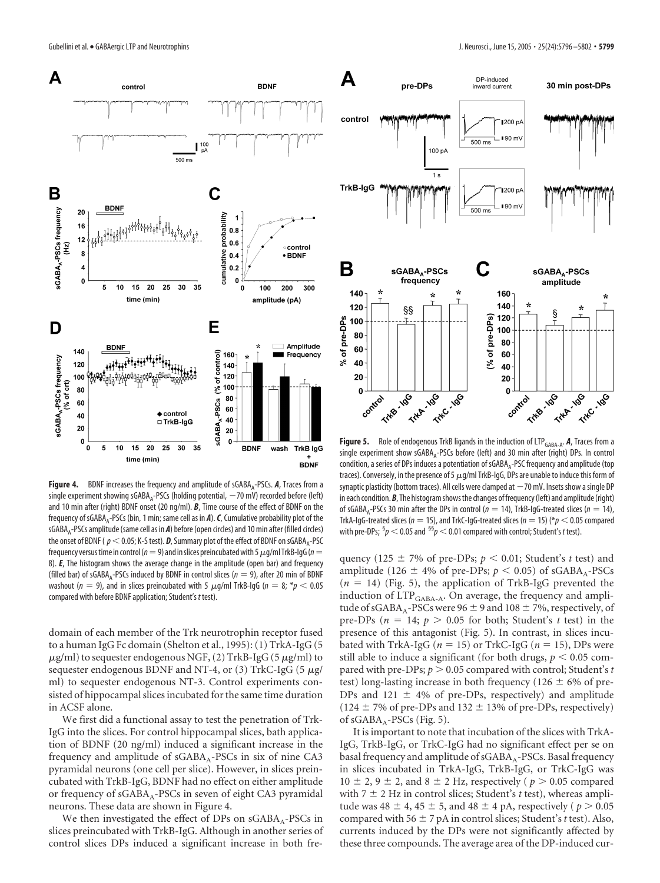

**Figure 4.** BDNF increases the frequency and amplitude of sGABA<sub>A</sub>-PSCs. A, Traces from a single experiment showing sGABA<sub>A</sub>-PSCs (holding potential,  $-70$  mV) recorded before (left) and 10 min after (right) BDNF onset (20 ng/ml). *B*, Time course of the effect of BDNF on the frequency of sGABA<sub>A</sub>-PSCs (bin, 1 min; same cell as in *A*). *C*, Cumulative probability plot of the sGABAA-PSCs amplitude (same cell as in *A*) before (open circles) and 10 min after (filled circles) the onset of BDNF ( $p < 0.05$ ; K-S test). **D**, Summary plot of the effect of BDNF on sGABA<sub>A</sub>-PSC frequency versus time in control ( $n=9$ ) and in slices preincubated with 5  $\mu$ g/ml TrkB-IgG ( $n=$ 8). *E*, The histogram shows the average change in the amplitude (open bar) and frequency (filled bar) of sGABA<sub>A</sub>-PSCs induced by BDNF in control slices ( $n = 9$ ), after 20 min of BDNF washout ( $n = 9$ ), and in slices preincubated with 5  $\mu$ g/ml TrkB-IgG ( $n = 8; *p < 0.05$ compared with before BDNF application; Student's *t* test).

domain of each member of the Trk neurotrophin receptor fused to a human IgG Fc domain (Shelton et al., 1995): (1) TrkA-IgG (5  $\mu$ g/ml) to sequester endogenous NGF, (2) TrkB-IgG (5  $\mu$ g/ml) to sequester endogenous BDNF and NT-4, or (3) TrkC-IgG (5  $\mu$ g/ ml) to sequester endogenous NT-3. Control experiments consisted of hippocampal slices incubated for the same time duration in ACSF alone.

We first did a functional assay to test the penetration of Trk-IgG into the slices. For control hippocampal slices, bath application of BDNF (20 ng/ml) induced a significant increase in the frequency and amplitude of  $sGABA_A-PSCs$  in six of nine CA3 pyramidal neurons (one cell per slice). However, in slices preincubated with TrkB-IgG, BDNF had no effect on either amplitude or frequency of sGABA<sub>A</sub>-PSCs in seven of eight CA3 pyramidal neurons. These data are shown in Figure 4.

We then investigated the effect of DPs on  $sGABA_A-PSCs$  in slices preincubated with TrkB-IgG. Although in another series of control slices DPs induced a significant increase in both fre-



Figure 5. Role of endogenous TrkB ligands in the induction of LTP<sub>GABA-A</sub>. **A**, Traces from a single experiment show sGABA<sub>A</sub>-PSCs before (left) and 30 min after (right) DPs. In control condition, a series of DPs induces a potentiation of  $sGABA_A-PSC$  frequency and amplitude (top traces). Conversely, in the presence of 5  $\mu$ g/ml TrkB-IgG, DPs are unable to induce this form of synaptic plasticity (bottom traces). All cells were clamped at  $-70$  mV. Insets show a single DP in each condition. **B**, The histogram shows the changes of frequency (left) and amplitude (right) of sGABA<sub>A</sub>-PSCs 30 min after the DPs in control ( $n = 14$ ), TrkB-IgG-treated slices ( $n = 14$ ), TrkA-IgG-treated slices ( $n = 15$ ), and TrkC-IgG-treated slices ( $n = 15$ ) ( $p < 0.05$  compared with pre-DPs;  ${}^{5}p$   $<$  0.05 and  ${}^{55}p$   $<$  0.01 compared with control; Student's *t* test).

quency (125  $\pm$  7% of pre-DPs;  $p < 0.01$ ; Student's *t* test) and amplitude (126  $\pm$  4% of pre-DPs;  $p < 0.05$ ) of sGABA<sub>A</sub>-PSCs  $(n = 14)$  (Fig. 5), the application of TrkB-IgG prevented the induction of  $LTP_{GABA-A}$ . On average, the frequency and amplitude of sGABA<sub>A</sub>-PSCs were 96  $\pm$  9 and 108  $\pm$  7%, respectively, of pre-DPs ( $n = 14$ ;  $p > 0.05$  for both; Student's *t* test) in the presence of this antagonist (Fig. 5). In contrast, in slices incubated with TrkA-IgG ( $n = 15$ ) or TrkC-IgG ( $n = 15$ ), DPs were still able to induce a significant (for both drugs,  $p < 0.05$  compared with pre-DPs;  $p > 0.05$  compared with control; Student's *t* test) long-lasting increase in both frequency (126  $\pm$  6% of pre-DPs and 121  $\pm$  4% of pre-DPs, respectively) and amplitude  $(124 \pm 7\% \text{ of pre-DPs and } 132 \pm 13\% \text{ of pre-DPs, respectively})$ of  $sGABA_A-PSCs$  (Fig. 5).

It is important to note that incubation of the slices with TrkA-IgG, TrkB-IgG, or TrkC-IgG had no significant effect per se on basal frequency and amplitude of  $sGABA_A-PSCs$ . Basal frequency in slices incubated in TrkA-IgG, TrkB-IgG, or TrkC-IgG was  $10 \pm 2$ ,  $9 \pm 2$ , and  $8 \pm 2$  Hz, respectively ( $p > 0.05$  compared with  $7 \pm 2$  Hz in control slices; Student's *t* test), whereas amplitude was  $48 \pm 4$ ,  $45 \pm 5$ , and  $48 \pm 4$  pA, respectively ( $p > 0.05$ ) compared with 56  $\pm$  7 pA in control slices; Student's *t* test). Also, currents induced by the DPs were not significantly affected by these three compounds. The average area of the DP-induced cur-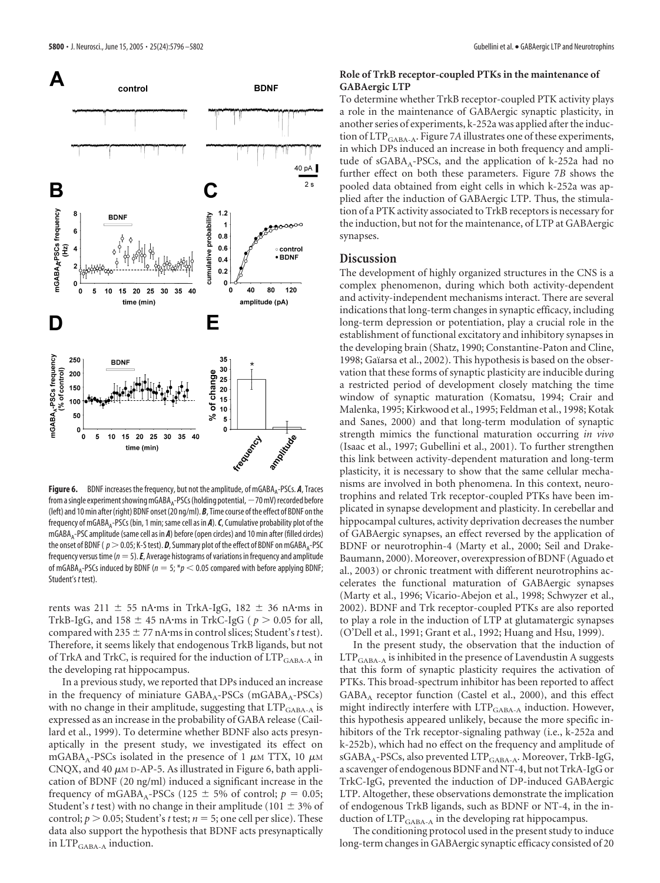

**Figure 6.** BDNF increases the frequency, but not the amplitude, of mGABA<sub>4</sub>-PSCs. **A**, Traces from a single experiment showing mGABA<sub> $A$ -PSCs (holding potential,  $-70$  mV) recorded before</sub> (left) and 10 min after (right) BDNF onset (20 ng/ml). *B*, Time course of the effect of BDNF on the frequency of mGABA<sub>A</sub>-PSCs (bin, 1 min; same cell as in *A*). *C*, Cumulative probability plot of the mGABAA-PSC amplitude (same cell as in *A*) before (open circles) and 10 min after (filled circles) the onset of BDNF ( $p>0.05$ ; K-S test). **D**, Summary plot of the effect of BDNF on mGABA<sub>A</sub>-PSC frequency versus time ( $n=5$ ).  $E$ , Average histograms of variations in frequency and amplitude of mGABA<sub>A</sub>-PSCs induced by BDNF ( $n = 5$ ; \* $p < 0.05$  compared with before applying BDNF; Student's *t* test).

rents was 211  $\pm$  55 nA·ms in TrkA-IgG, 182  $\pm$  36 nA·ms in TrkB-IgG, and  $158 \pm 45$  nA·ms in TrkC-IgG ( $p > 0.05$  for all, compared with  $235 \pm 77$  nA·ms in control slices; Student's *t* test). Therefore, it seems likely that endogenous TrkB ligands, but not of TrkA and TrkC, is required for the induction of  $LTP_{\rm GABA-A}$  in the developing rat hippocampus.

In a previous study, we reported that DPs induced an increase in the frequency of miniature  $GABA_A\text{-PSCs}$  (m $GABA_A\text{-PSCs}$ ) with no change in their amplitude, suggesting that  $LTP_{\rm GABA-A}$  is expressed as an increase in the probability of GABA release (Caillard et al., 1999). To determine whether BDNF also acts presynaptically in the present study, we investigated its effect on mGABA<sub>A</sub>-PSCs isolated in the presence of 1  $\mu$ M TTX, 10  $\mu$ M CNQX, and 40  $\mu$ M D-AP-5. As illustrated in Figure 6, bath application of BDNF (20 ng/ml) induced a significant increase in the frequency of mGABA<sub>A</sub>-PSCs (125  $\pm$  5% of control;  $p = 0.05$ ; Student's *t* test) with no change in their amplitude (101  $\pm$  3% of control;  $p > 0.05$ ; Student's *t* test;  $n = 5$ ; one cell per slice). These data also support the hypothesis that BDNF acts presynaptically in  $LTP_{\text{GABA-A}}$  induction.

#### **Role of TrkB receptor-coupled PTKs in the maintenance of GABAergic LTP**

To determine whether TrkB receptor-coupled PTK activity plays a role in the maintenance of GABAergic synaptic plasticity, in another series of experiments, k-252a was applied after the induction of LTP<sub>GABA-A</sub>. Figure 7A illustrates one of these experiments, in which DPs induced an increase in both frequency and amplitude of  $sGABA_A-PSCs$ , and the application of  $k-252a$  had no further effect on both these parameters. Figure 7*B* shows the pooled data obtained from eight cells in which k-252a was applied after the induction of GABAergic LTP. Thus, the stimulation of a PTK activity associated to TrkB receptors is necessary for the induction, but not for the maintenance, of LTP at GABAergic synapses.

#### **Discussion**

The development of highly organized structures in the CNS is a complex phenomenon, during which both activity-dependent and activity-independent mechanisms interact. There are several indications that long-term changes in synaptic efficacy, including long-term depression or potentiation, play a crucial role in the establishment of functional excitatory and inhibitory synapses in the developing brain (Shatz, 1990; Constantine-Paton and Cline, 1998; Gaïarsa et al., 2002). This hypothesis is based on the observation that these forms of synaptic plasticity are inducible during a restricted period of development closely matching the time window of synaptic maturation (Komatsu, 1994; Crair and Malenka, 1995; Kirkwood et al., 1995; Feldman et al., 1998; Kotak and Sanes, 2000) and that long-term modulation of synaptic strength mimics the functional maturation occurring *in vivo* (Isaac et al., 1997; Gubellini et al., 2001). To further strengthen this link between activity-dependent maturation and long-term plasticity, it is necessary to show that the same cellular mechanisms are involved in both phenomena. In this context, neurotrophins and related Trk receptor-coupled PTKs have been implicated in synapse development and plasticity. In cerebellar and hippocampal cultures, activity deprivation decreases the number of GABAergic synapses, an effect reversed by the application of BDNF or neurotrophin-4 (Marty et al., 2000; Seil and Drake-Baumann, 2000). Moreover, overexpression of BDNF (Aguado et al., 2003) or chronic treatment with different neurotrophins accelerates the functional maturation of GABAergic synapses (Marty et al., 1996; Vicario-Abejon et al., 1998; Schwyzer et al., 2002). BDNF and Trk receptor-coupled PTKs are also reported to play a role in the induction of LTP at glutamatergic synapses (O'Dell et al., 1991; Grant et al., 1992; Huang and Hsu, 1999).

In the present study, the observation that the induction of  $LTP_{\text{GABA-A}}$  is inhibited in the presence of Lavendustin A suggests that this form of synaptic plasticity requires the activation of PTKs. This broad-spectrum inhibitor has been reported to affect GABAA receptor function (Castel et al., 2000), and this effect might indirectly interfere with LTP<sub>GABA-A</sub> induction. However, this hypothesis appeared unlikely, because the more specific inhibitors of the Trk receptor-signaling pathway (i.e., k-252a and k-252b), which had no effect on the frequency and amplitude of sGABA<sub>A</sub>-PSCs, also prevented LTP<sub>GABA-A</sub>. Moreover, TrkB-IgG, a scavenger of endogenous BDNF and NT-4, but not TrkA-IgG or TrkC-IgG, prevented the induction of DP-induced GABAergic LTP. Altogether, these observations demonstrate the implication of endogenous TrkB ligands, such as BDNF or NT-4, in the induction of  $\text{LTP}_{\text{GABA-A}}$  in the developing rat hippocampus.

The conditioning protocol used in the present study to induce long-term changes in GABAergic synaptic efficacy consisted of 20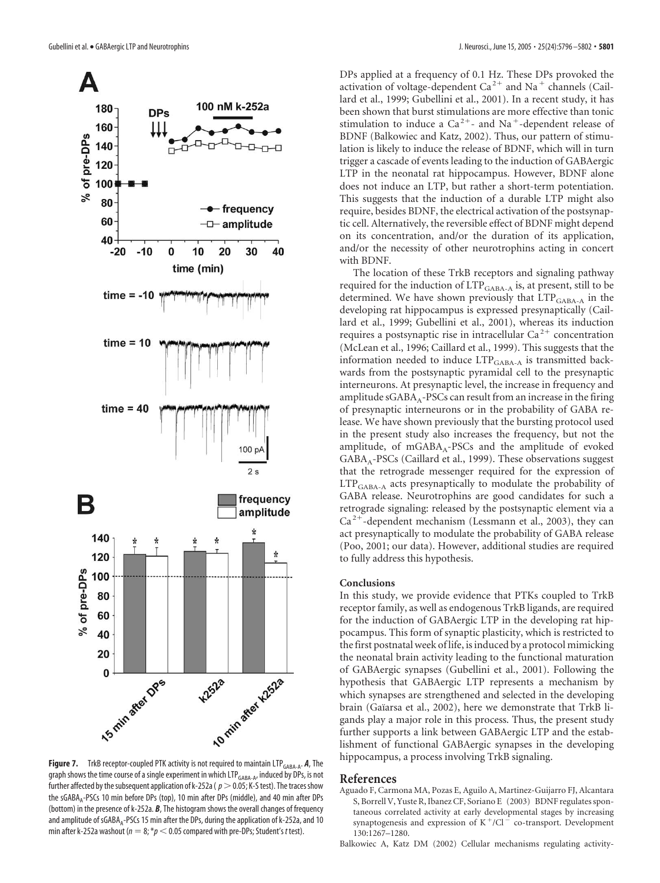

**Figure 7.** TrkB receptor-coupled PTK activity is not required to maintain LTP<sub>GABA-A</sub>. A, The graph shows the time course of a single experiment in which LTP<sub>GABA-A</sub>, induced by DPs, is not further affected by the subsequent application of k-252a ( $p>0.05$ ; K-S test). The traces show the sGABA<sub>a</sub>-PSCs 10 min before DPs (top), 10 min after DPs (middle), and 40 min after DPs (bottom) in the presence of k-252a. *B*, The histogram shows the overall changes of frequency and amplitude of sGABA<sub>A</sub>-PSCs 15 min after the DPs, during the application of k-252a, and 10 min after k-252a washout ( $n = 8$ ;  $* p < 0.05$  compared with pre-DPs; Student's *t* test).

DPs applied at a frequency of 0.1 Hz. These DPs provoked the activation of voltage-dependent Ca<sup>2+</sup> and Na<sup>+</sup> channels (Caillard et al., 1999; Gubellini et al., 2001). In a recent study, it has been shown that burst stimulations are more effective than tonic stimulation to induce a  $Ca^{2+}$ - and Na<sup>+</sup>-dependent release of BDNF (Balkowiec and Katz, 2002). Thus, our pattern of stimulation is likely to induce the release of BDNF, which will in turn trigger a cascade of events leading to the induction of GABAergic LTP in the neonatal rat hippocampus. However, BDNF alone does not induce an LTP, but rather a short-term potentiation. This suggests that the induction of a durable LTP might also require, besides BDNF, the electrical activation of the postsynaptic cell. Alternatively, the reversible effect of BDNF might depend on its concentration, and/or the duration of its application, and/or the necessity of other neurotrophins acting in concert with BDNF.

The location of these TrkB receptors and signaling pathway required for the induction of LTP<sub>GABA-A</sub> is, at present, still to be determined. We have shown previously that LTP<sub>GABA-A</sub> in the developing rat hippocampus is expressed presynaptically (Caillard et al., 1999; Gubellini et al., 2001), whereas its induction requires a postsynaptic rise in intracellular  $Ca^{2+}$  concentration (McLean et al., 1996; Caillard et al., 1999). This suggests that the information needed to induce LTP<sub>GABA-A</sub> is transmitted backwards from the postsynaptic pyramidal cell to the presynaptic interneurons. At presynaptic level, the increase in frequency and amplitude  $sGABA_A-PSCs$  can result from an increase in the firing of presynaptic interneurons or in the probability of GABA release. We have shown previously that the bursting protocol used in the present study also increases the frequency, but not the amplitude, of  $mGABA_A-PSCs$  and the amplitude of evoked GABAA-PSCs (Caillard et al., 1999). These observations suggest that the retrograde messenger required for the expression of LTP<sub>GABA-A</sub> acts presynaptically to modulate the probability of GABA release. Neurotrophins are good candidates for such a retrograde signaling: released by the postsynaptic element via a  $Ca<sup>2+</sup>$ -dependent mechanism (Lessmann et al., 2003), they can act presynaptically to modulate the probability of GABA release (Poo, 2001; our data). However, additional studies are required to fully address this hypothesis.

#### **Conclusions**

In this study, we provide evidence that PTKs coupled to TrkB receptor family, as well as endogenous TrkB ligands, are required for the induction of GABAergic LTP in the developing rat hippocampus. This form of synaptic plasticity, which is restricted to the first postnatal week of life, is induced by a protocol mimicking the neonatal brain activity leading to the functional maturation of GABAergic synapses (Gubellini et al., 2001). Following the hypothesis that GABAergic LTP represents a mechanism by which synapses are strengthened and selected in the developing brain (Gaïarsa et al., 2002), here we demonstrate that TrkB ligands play a major role in this process. Thus, the present study further supports a link between GABAergic LTP and the establishment of functional GABAergic synapses in the developing hippocampus, a process involving TrkB signaling.

#### **References**

- Aguado F, Carmona MA, Pozas E, Aguilo A, Martinez-Guijarro FJ, Alcantara S, Borrell V, Yuste R, Ibanez CF, Soriano E (2003) BDNF regulates spontaneous correlated activity at early developmental stages by increasing synaptogenesis and expression of  $K^+/Cl^-$  co-transport. Development 130:1267–1280.
- Balkowiec A, Katz DM (2002) Cellular mechanisms regulating activity-